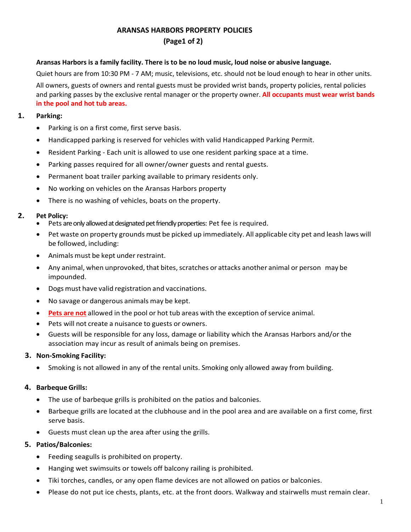# **ARANSAS HARBORS PROPERTY POLICIES**

# **(Page1 of 2)**

## Aransas Harbors is a family facility. There is to be no loud music, loud noise or abusive language.

Quiet hours are from 10:30 PM - 7 AM; music, televisions, etc. should not be loud enough to hear in other units.

All owners, guests of owners and rental guests must be provided wrist bands, property policies, rental policies and parking passes by the exclusive rental manager or the property owner. **All occupants must wear wrist bands in the pool and hot tub areas.**

#### **1. Parking:**

- Parking is on a first come, first serve basis.
- Handicapped parking is reserved for vehicles with valid Handicapped Parking Permit.
- Resident Parking Each unit is allowed to use one resident parking space at a time.
- Parking passes required for all owner/owner guests and rental guests.
- Permanent boat trailer parking available to primary residents only.
- No working on vehicles on the Aransas Harbors property
- There is no washing of vehicles, boats on the property.

## **2. Pet Policy:**

- Pets are only allowed at designated pet friendly properties: Pet fee is required.
- Pet waste on property grounds must be picked up immediately. All applicable city pet and leash laws will be followed, including:
- Animals must be kept under restraint.
- Any animal, when unprovoked, that bites, scratches or attacks another animal or person may be impounded.
- Dogs must have valid registration and vaccinations.
- No savage or dangerous animals may be kept.
- **Pets are not** allowed in the pool or hot tub areas with the exception of service animal.
- Pets will not create a nuisance to guests or owners.
- Guests will be responsible for any loss, damage or liability which the Aransas Harbors and/or the association may incur as result of animals being on premises.

# **3. Non-Smoking Facility:**

• Smoking is not allowed in any of the rental units. Smoking only allowed away from building.

# **4. Barbeque Grills:**

- The use of barbeque grills is prohibited on the patios and balconies.
- Barbeque grills are located at the clubhouse and in the pool area and are available on a first come, first serve basis.
- Guests must clean up the area after using the grills.

# **5. Patios/Balconies:**

- Feeding seagulls is prohibited on property.
- Hanging wet swimsuits or towels off balcony railing is prohibited.
- Tiki torches, candles, or any open flame devices are not allowed on patios or balconies.
- Please do not put ice chests, plants, etc. at the front doors. Walkway and stairwells must remain clear.